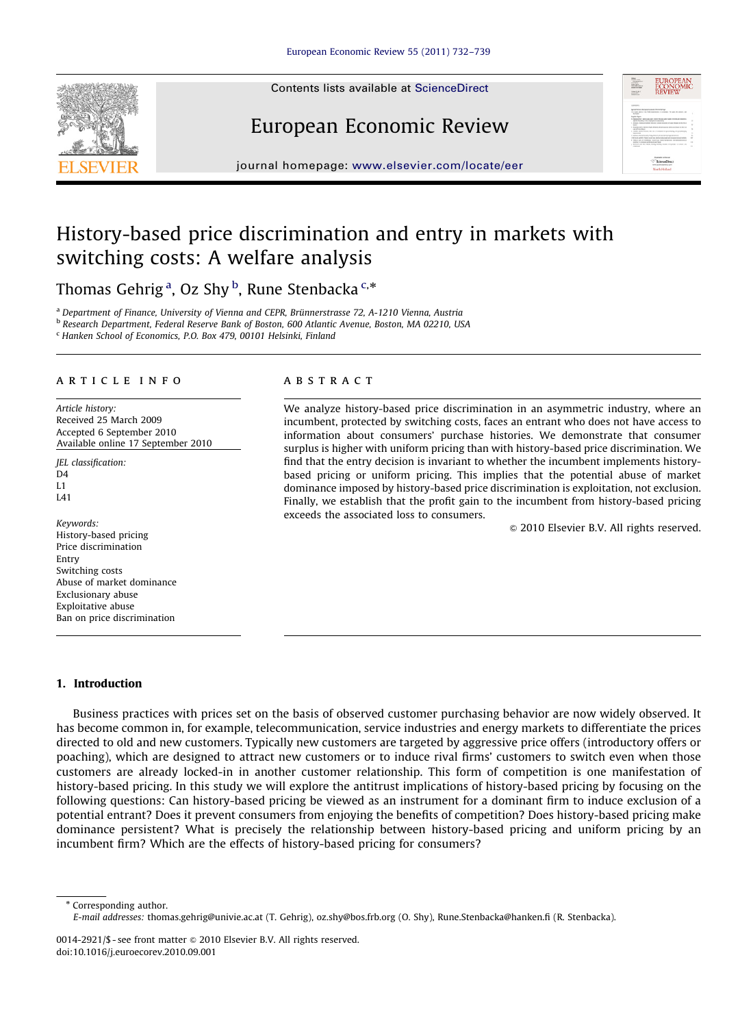Contents lists available at ScienceDirect



## European Economic Review



journal homepage: <www.elsevier.com/locate/eer>

### History-based price discrimination and entry in markets with switching costs: A welfare analysis

Thomas Gehrig <sup>a</sup>, Oz Shy <sup>b</sup>, Rune Stenbacka <sup>c,</sup>\*

<sup>a</sup> Department of Finance, University of Vienna and CEPR, Brünnerstrasse 72, A-1210 Vienna, Austria

<sup>b</sup> Research Department, Federal Reserve Bank of Boston, 600 Atlantic Avenue, Boston, MA 02210, USA

<sup>c</sup> Hanken School of Economics, P.O. Box 479, 00101 Helsinki, Finland

#### article info

Article history: Received 25 March 2009 Accepted 6 September 2010 Available online 17 September 2010

JEL classification:  $D4$  $L1$ L41

Keywords: History-based pricing Price discrimination Entry Switching costs Abuse of market dominance Exclusionary abuse Exploitative abuse Ban on price discrimination

### **ABSTRACT**

We analyze history-based price discrimination in an asymmetric industry, where an incumbent, protected by switching costs, faces an entrant who does not have access to information about consumers' purchase histories. We demonstrate that consumer surplus is higher with uniform pricing than with history-based price discrimination. We find that the entry decision is invariant to whether the incumbent implements historybased pricing or uniform pricing. This implies that the potential abuse of market dominance imposed by history-based price discrimination is exploitation, not exclusion. Finally, we establish that the profit gain to the incumbent from history-based pricing exceeds the associated loss to consumers.

 $\odot$  2010 Elsevier B.V. All rights reserved.

### 1. Introduction

Business practices with prices set on the basis of observed customer purchasing behavior are now widely observed. It has become common in, for example, telecommunication, service industries and energy markets to differentiate the prices directed to old and new customers. Typically new customers are targeted by aggressive price offers (introductory offers or poaching), which are designed to attract new customers or to induce rival firms' customers to switch even when those customers are already locked-in in another customer relationship. This form of competition is one manifestation of history-based pricing. In this study we will explore the antitrust implications of history-based pricing by focusing on the following questions: Can history-based pricing be viewed as an instrument for a dominant firm to induce exclusion of a potential entrant? Does it prevent consumers from enjoying the benefits of competition? Does history-based pricing make dominance persistent? What is precisely the relationship between history-based pricing and uniform pricing by an incumbent firm? Which are the effects of history-based pricing for consumers?

\* Corresponding author. E-mail addresses: [thomas.gehrig@univie.ac.at \(T. Gehrig\)](mailto:thomas.gehrig@univie.ac.at), [oz.shy@bos.frb.org \(O. Shy\),](mailto:oz.shy@bos.frb.org) [Rune.Stenbacka@hanken.fi \(R. Stenbacka\)](mailto:Rune.Stenbacka@hanken.fi).

<sup>0014-2921/\$ -</sup> see front matter  $\odot$  2010 Elsevier B.V. All rights reserved. doi:[10.1016/j.euroecorev.2010.09.001](dx.doi.org/10.1016/j.euroecorev.2010.09.001)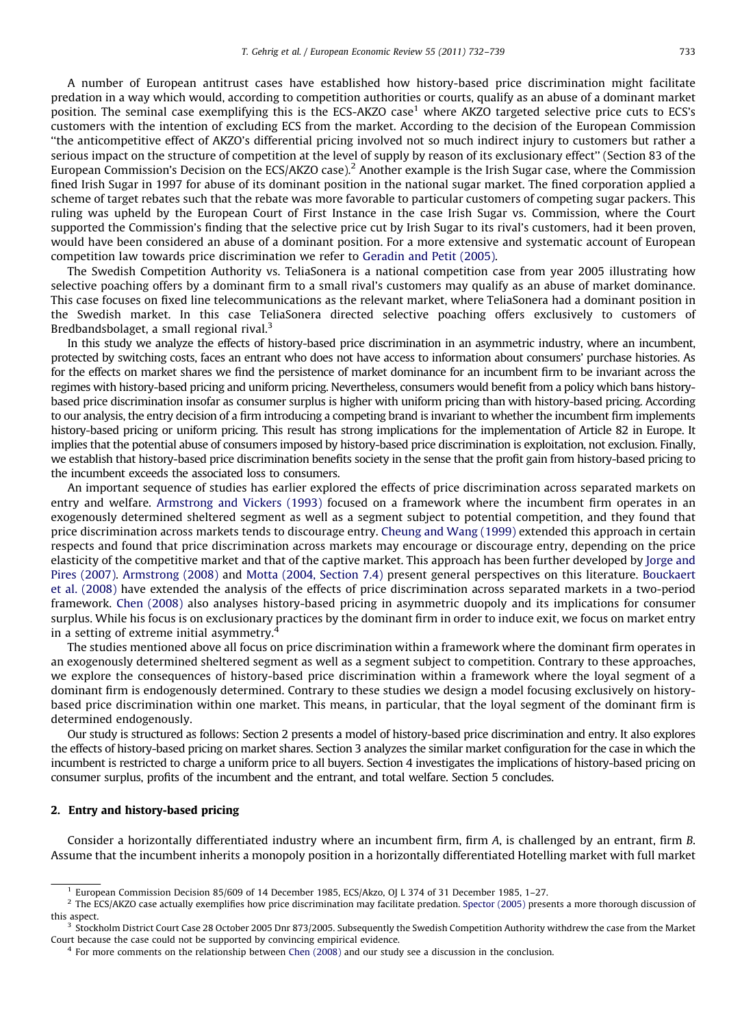A number of European antitrust cases have established how history-based price discrimination might facilitate predation in a way which would, according to competition authorities or courts, qualify as an abuse of a dominant market position. The seminal case exemplifying this is the ECS-AKZO case<sup>1</sup> where AKZO targeted selective price cuts to ECS's customers with the intention of excluding ECS from the market. According to the decision of the European Commission ''the anticompetitive effect of AKZO's differential pricing involved not so much indirect injury to customers but rather a serious impact on the structure of competition at the level of supply by reason of its exclusionary effect'' (Section 83 of the European Commission's Decision on the ECS/AKZO case).<sup>2</sup> Another example is the Irish Sugar case, where the Commission fined Irish Sugar in 1997 for abuse of its dominant position in the national sugar market. The fined corporation applied a scheme of target rebates such that the rebate was more favorable to particular customers of competing sugar packers. This ruling was upheld by the European Court of First Instance in the case Irish Sugar vs. Commission, where the Court supported the Commission's finding that the selective price cut by Irish Sugar to its rival's customers, had it been proven, would have been considered an abuse of a dominant position. For a more extensive and systematic account of European competition law towards price discrimination we refer to [Geradin and Petit \(2005\)](#page--1-0).

The Swedish Competition Authority vs. TeliaSonera is a national competition case from year 2005 illustrating how selective poaching offers by a dominant firm to a small rival's customers may qualify as an abuse of market dominance. This case focuses on fixed line telecommunications as the relevant market, where TeliaSonera had a dominant position in the Swedish market. In this case TeliaSonera directed selective poaching offers exclusively to customers of Bredbandsbolaget, a small regional rival.<sup>3</sup>

In this study we analyze the effects of history-based price discrimination in an asymmetric industry, where an incumbent, protected by switching costs, faces an entrant who does not have access to information about consumers' purchase histories. As for the effects on market shares we find the persistence of market dominance for an incumbent firm to be invariant across the regimes with history-based pricing and uniform pricing. Nevertheless, consumers would benefit from a policy which bans historybased price discrimination insofar as consumer surplus is higher with uniform pricing than with history-based pricing. According to our analysis, the entry decision of a firm introducing a competing brand is invariant to whether the incumbent firm implements history-based pricing or uniform pricing. This result has strong implications for the implementation of Article 82 in Europe. It implies that the potential abuse of consumers imposed by history-based price discrimination is exploitation, not exclusion. Finally, we establish that history-based price discrimination benefits society in the sense that the profit gain from history-based pricing to the incumbent exceeds the associated loss to consumers.

An important sequence of studies has earlier explored the effects of price discrimination across separated markets on entry and welfare. [Armstrong and Vickers \(1993\)](#page--1-0) focused on a framework where the incumbent firm operates in an exogenously determined sheltered segment as well as a segment subject to potential competition, and they found that price discrimination across markets tends to discourage entry. [Cheung and Wang \(1999\)](#page--1-0) extended this approach in certain respects and found that price discrimination across markets may encourage or discourage entry, depending on the price elasticity of the competitive market and that of the captive market. This approach has been further developed by [Jorge and](#page--1-0) [Pires \(2007\).](#page--1-0) [Armstrong \(2008\)](#page--1-0) and [Motta \(2004, Section 7.4\)](#page--1-0) present general perspectives on this literature. [Bouckaert](#page--1-0) [et al. \(2008\)](#page--1-0) have extended the analysis of the effects of price discrimination across separated markets in a two-period framework. [Chen \(2008\)](#page--1-0) also analyses history-based pricing in asymmetric duopoly and its implications for consumer surplus. While his focus is on exclusionary practices by the dominant firm in order to induce exit, we focus on market entry in a setting of extreme initial asymmetry.<sup>4</sup>

The studies mentioned above all focus on price discrimination within a framework where the dominant firm operates in an exogenously determined sheltered segment as well as a segment subject to competition. Contrary to these approaches, we explore the consequences of history-based price discrimination within a framework where the loyal segment of a dominant firm is endogenously determined. Contrary to these studies we design a model focusing exclusively on historybased price discrimination within one market. This means, in particular, that the loyal segment of the dominant firm is determined endogenously.

Our study is structured as follows: Section 2 presents a model of history-based price discrimination and entry. It also explores the effects of history-based pricing on market shares. Section 3 analyzes the similar market configuration for the case in which the incumbent is restricted to charge a uniform price to all buyers. Section 4 investigates the implications of history-based pricing on consumer surplus, profits of the incumbent and the entrant, and total welfare. Section 5 concludes.

#### 2. Entry and history-based pricing

Consider a horizontally differentiated industry where an incumbent firm, firm A, is challenged by an entrant, firm B. Assume that the incumbent inherits a monopoly position in a horizontally differentiated Hotelling market with full market

<sup>1</sup> European Commission Decision 85/609 of 14 December 1985, ECS/Akzo, OJ L 374 of 31 December 1985, 1–27.

 $2$  The ECS/AKZO case actually exemplifies how price discrimination may facilitate predation. [Spector \(2005\)](#page--1-0) presents a more thorough discussion of this aspect.

<sup>&</sup>lt;sup>3</sup> Stockholm District Court Case 28 October 2005 Dnr 873/2005. Subsequently the Swedish Competition Authority withdrew the case from the Market Court because the case could not be supported by convincing empirical evidence.

<sup>&</sup>lt;sup>4</sup> For more comments on the relationship between [Chen \(2008\)](#page--1-0) and our study see a discussion in the conclusion.